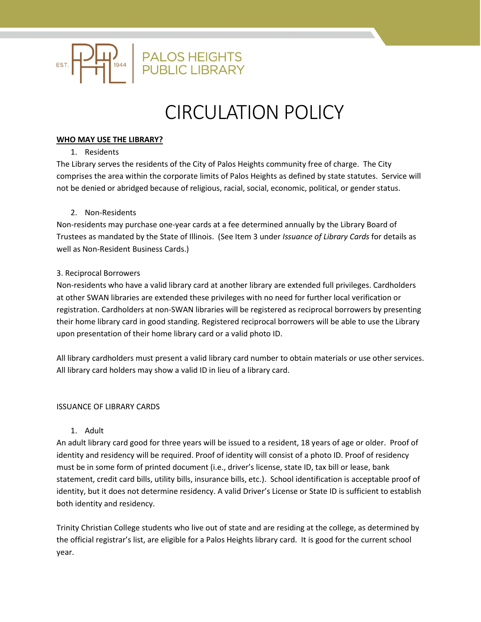

# CIRCULATION POLICY

## **WHO MAY USE THE LIBRARY?**

## 1. Residents

The Library serves the residents of the City of Palos Heights community free of charge. The City comprises the area within the corporate limits of Palos Heights as defined by state statutes. Service will not be denied or abridged because of religious, racial, social, economic, political, or gender status.

# 2. Non-Residents

Non-residents may purchase one-year cards at a fee determined annually by the Library Board of Trustees as mandated by the State of Illinois. (See Item 3 under *Issuance of Library Cards* for details as well as Non-Resident Business Cards.)

## 3. Reciprocal Borrowers

Non-residents who have a valid library card at another library are extended full privileges. Cardholders at other SWAN libraries are extended these privileges with no need for further local verification or registration. Cardholders at non-SWAN libraries will be registered as reciprocal borrowers by presenting their home library card in good standing. Registered reciprocal borrowers will be able to use the Library upon presentation of their home library card or a valid photo ID.

All library cardholders must present a valid library card number to obtain materials or use other services. All library card holders may show a valid ID in lieu of a library card.

## ISSUANCE OF LIBRARY CARDS

## 1. Adult

An adult library card good for three years will be issued to a resident, 18 years of age or older. Proof of identity and residency will be required. Proof of identity will consist of a photo ID. Proof of residency must be in some form of printed document (i.e., driver's license, state ID, tax bill or lease, bank statement, credit card bills, utility bills, insurance bills, etc.). School identification is acceptable proof of identity, but it does not determine residency. A valid Driver's License or State ID is sufficient to establish both identity and residency.

Trinity Christian College students who live out of state and are residing at the college, as determined by the official registrar's list, are eligible for a Palos Heights library card. It is good for the current school year.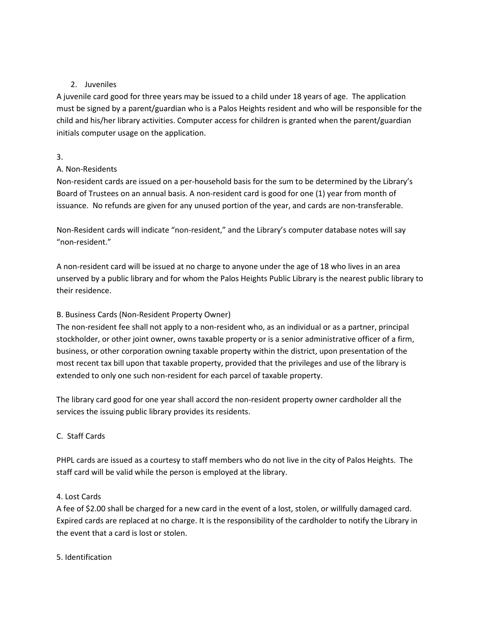# 2. Juveniles

A juvenile card good for three years may be issued to a child under 18 years of age. The application must be signed by a parent/guardian who is a Palos Heights resident and who will be responsible for the child and his/her library activities. Computer access for children is granted when the parent/guardian initials computer usage on the application.

## 3.

# A. Non-Residents

Non-resident cards are issued on a per-household basis for the sum to be determined by the Library's Board of Trustees on an annual basis. A non-resident card is good for one (1) year from month of issuance. No refunds are given for any unused portion of the year, and cards are non-transferable.

Non-Resident cards will indicate "non-resident," and the Library's computer database notes will say "non-resident."

A non-resident card will be issued at no charge to anyone under the age of 18 who lives in an area unserved by a public library and for whom the Palos Heights Public Library is the nearest public library to their residence.

# B. Business Cards (Non-Resident Property Owner)

The non-resident fee shall not apply to a non-resident who, as an individual or as a partner, principal stockholder, or other joint owner, owns taxable property or is a senior administrative officer of a firm, business, or other corporation owning taxable property within the district, upon presentation of the most recent tax bill upon that taxable property, provided that the privileges and use of the library is extended to only one such non-resident for each parcel of taxable property.

The library card good for one year shall accord the non-resident property owner cardholder all the services the issuing public library provides its residents.

# C. Staff Cards

PHPL cards are issued as a courtesy to staff members who do not live in the city of Palos Heights. The staff card will be valid while the person is employed at the library.

# 4. Lost Cards

A fee of \$2.00 shall be charged for a new card in the event of a lost, stolen, or willfully damaged card. Expired cards are replaced at no charge. It is the responsibility of the cardholder to notify the Library in the event that a card is lost or stolen.

# 5. Identification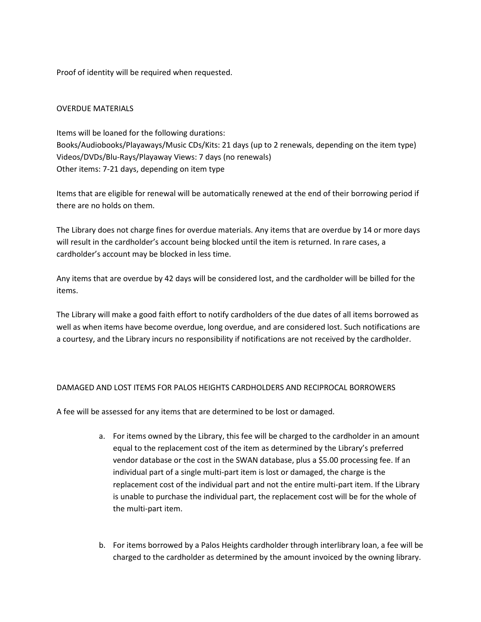Proof of identity will be required when requested.

## OVERDUE MATERIALS

Items will be loaned for the following durations: Books/Audiobooks/Playaways/Music CDs/Kits: 21 days (up to 2 renewals, depending on the item type) Videos/DVDs/Blu-Rays/Playaway Views: 7 days (no renewals) Other items: 7-21 days, depending on item type

Items that are eligible for renewal will be automatically renewed at the end of their borrowing period if there are no holds on them.

The Library does not charge fines for overdue materials. Any items that are overdue by 14 or more days will result in the cardholder's account being blocked until the item is returned. In rare cases, a cardholder's account may be blocked in less time.

Any items that are overdue by 42 days will be considered lost, and the cardholder will be billed for the items.

The Library will make a good faith effort to notify cardholders of the due dates of all items borrowed as well as when items have become overdue, long overdue, and are considered lost. Such notifications are a courtesy, and the Library incurs no responsibility if notifications are not received by the cardholder.

## DAMAGED AND LOST ITEMS FOR PALOS HEIGHTS CARDHOLDERS AND RECIPROCAL BORROWERS

A fee will be assessed for any items that are determined to be lost or damaged.

- a. For items owned by the Library, this fee will be charged to the cardholder in an amount equal to the replacement cost of the item as determined by the Library's preferred vendor database or the cost in the SWAN database, plus a \$5.00 processing fee. If an individual part of a single multi-part item is lost or damaged, the charge is the replacement cost of the individual part and not the entire multi-part item. If the Library is unable to purchase the individual part, the replacement cost will be for the whole of the multi-part item.
- b. For items borrowed by a Palos Heights cardholder through interlibrary loan, a fee will be charged to the cardholder as determined by the amount invoiced by the owning library.